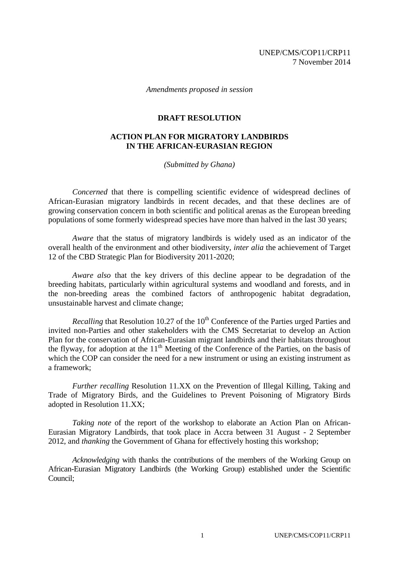*Amendments proposed in session*

## **DRAFT RESOLUTION**

## **ACTION PLAN FOR MIGRATORY LANDBIRDS IN THE AFRICAN-EURASIAN REGION**

*(Submitted by Ghana)*

*Concerned* that there is compelling scientific evidence of widespread declines of African-Eurasian migratory landbirds in recent decades, and that these declines are of growing conservation concern in both scientific and political arenas as the European breeding populations of some formerly widespread species have more than halved in the last 30 years;

*Aware* that the status of migratory landbirds is widely used as an indicator of the overall health of the environment and other biodiversity, *inter alia* the achievement of Target 12 of the CBD Strategic Plan for Biodiversity 2011-2020;

*Aware also* that the key drivers of this decline appear to be degradation of the breeding habitats, particularly within agricultural systems and woodland and forests, and in the non-breeding areas the combined factors of anthropogenic habitat degradation, unsustainable harvest and climate change;

*Recalling* that Resolution 10.27 of the 10<sup>th</sup> Conference of the Parties urged Parties and invited non-Parties and other stakeholders with the CMS Secretariat to develop an Action Plan for the conservation of African-Eurasian migrant landbirds and their habitats throughout the flyway, for adoption at the  $11<sup>th</sup>$  Meeting of the Conference of the Parties, on the basis of which the COP can consider the need for a new instrument or using an existing instrument as a framework;

*Further recalling* Resolution 11.XX on the Prevention of Illegal Killing, Taking and Trade of Migratory Birds, and the Guidelines to Prevent Poisoning of Migratory Birds adopted in Resolution 11.XX;

*Taking note* of the report of the workshop to elaborate an Action Plan on African-Eurasian Migratory Landbirds, that took place in Accra between 31 August - 2 September 2012, and *thanking* the Government of Ghana for effectively hosting this workshop;

*Acknowledging* with thanks the contributions of the members of the Working Group on African-Eurasian Migratory Landbirds (the Working Group) established under the Scientific Council;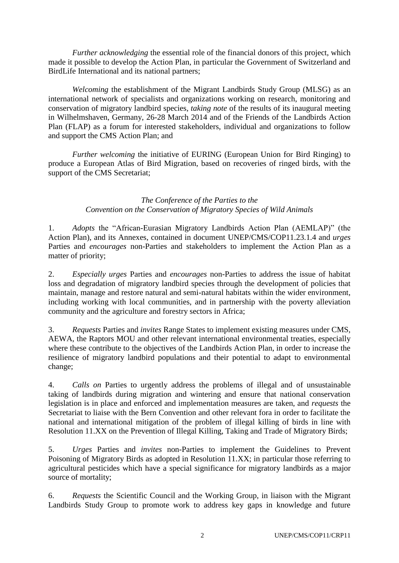*Further acknowledging* the essential role of the financial donors of this project, which made it possible to develop the Action Plan, in particular the Government of Switzerland and BirdLife International and its national partners;

*Welcoming* the establishment of the Migrant Landbirds Study Group (MLSG) as an international network of specialists and organizations working on research, monitoring and conservation of migratory landbird species, *taking note* of the results of its inaugural meeting in Wilhelmshaven, Germany, 26-28 March 2014 and of the Friends of the Landbirds Action Plan (FLAP) as a forum for interested stakeholders, individual and organizations to follow and support the CMS Action Plan; and

*Further welcoming* the initiative of EURING (European Union for Bird Ringing) to produce a European Atlas of Bird Migration, based on recoveries of ringed birds, with the support of the CMS Secretariat;

## *The Conference of the Parties to the Convention on the Conservation of Migratory Species of Wild Animals*

1. *Adopts* the "African-Eurasian Migratory Landbirds Action Plan (AEMLAP)" (the Action Plan), and its Annexes, contained in document UNEP/CMS/COP11.23.1.4 and *urges* Parties and *encourages* non-Parties and stakeholders to implement the Action Plan as a matter of priority;

2. *Especially urges* Parties and *encourages* non-Parties to address the issue of habitat loss and degradation of migratory landbird species through the development of policies that maintain, manage and restore natural and semi-natural habitats within the wider environment, including working with local communities, and in partnership with the poverty alleviation community and the agriculture and forestry sectors in Africa;

3. *Requests* Parties and *invites* Range States to implement existing measures under CMS, AEWA, the Raptors MOU and other relevant international environmental treaties, especially where these contribute to the objectives of the Landbirds Action Plan, in order to increase the resilience of migratory landbird populations and their potential to adapt to environmental change;

4. *Calls on* Parties to urgently address the problems of illegal and of unsustainable taking of landbirds during migration and wintering and ensure that national conservation legislation is in place and enforced and implementation measures are taken, and *requests* the Secretariat to liaise with the Bern Convention and other relevant fora in order to facilitate the national and international mitigation of the problem of illegal killing of birds in line with Resolution 11.XX on the Prevention of Illegal Killing, Taking and Trade of Migratory Birds;

5. *Urges* Parties and *invites* non-Parties to implement the Guidelines to Prevent Poisoning of Migratory Birds as adopted in Resolution 11.XX; in particular those referring to agricultural pesticides which have a special significance for migratory landbirds as a major source of mortality;

6. *Requests* the Scientific Council and the Working Group, in liaison with the Migrant Landbirds Study Group to promote work to address key gaps in knowledge and future